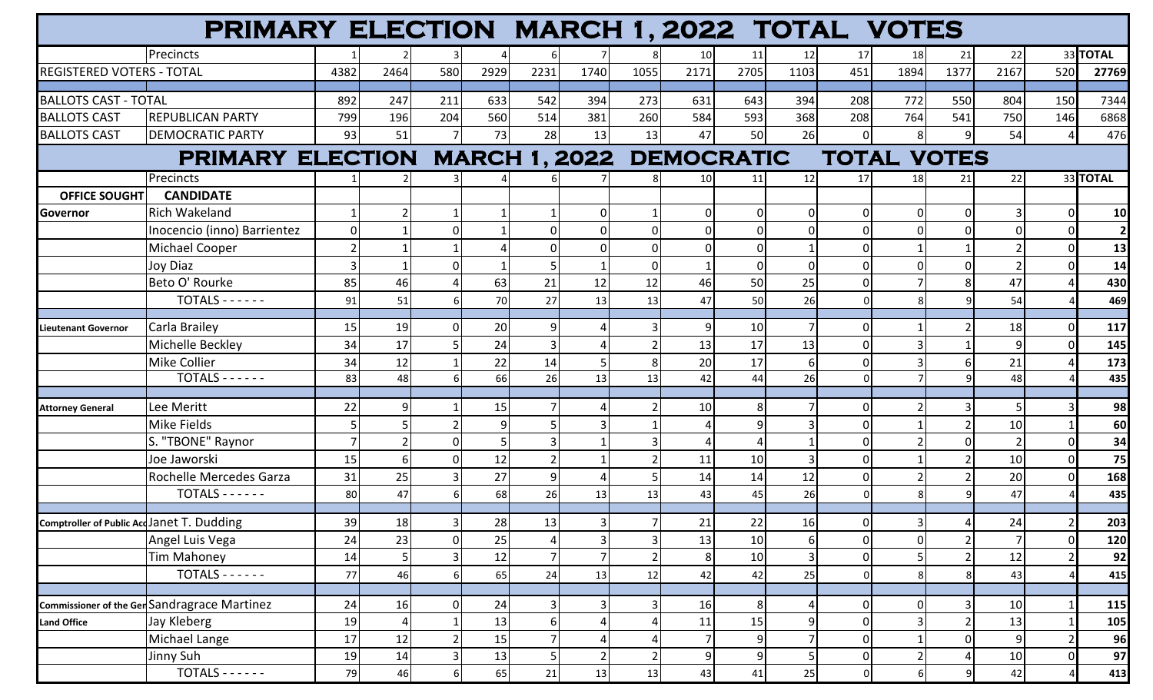|                                                     | PRIMARY ELECTION MARCH 1, 2022 TOTAL VOTES |          |      |          |      |                |      |                                           |                 |                |      |                    |                |          |      |     |                |
|-----------------------------------------------------|--------------------------------------------|----------|------|----------|------|----------------|------|-------------------------------------------|-----------------|----------------|------|--------------------|----------------|----------|------|-----|----------------|
|                                                     | Precincts                                  |          |      |          |      |                |      |                                           | 10 <sup>1</sup> | 11             | 12   | 17                 | 18             | 21       | 22   |     | 33 TOTAL       |
| <b>REGISTERED VOTERS - TOTAL</b>                    |                                            | 4382     | 2464 | 580      | 2929 | 2231           | 1740 | 1055                                      | 2171            | 2705           | 1103 | 451                | 1894           | 1377     | 2167 | 520 | 27769          |
|                                                     |                                            |          |      |          |      |                |      |                                           |                 |                |      |                    |                |          |      |     |                |
| <b>BALLOTS CAST - TOTAL</b>                         |                                            | 892      | 247  | 211      | 633  | 542            | 394  | 273                                       | 631             | 643            | 394  | 208                | 772            | 550      | 804  | 150 | 7344           |
| <b>BALLOTS CAST</b>                                 | <b>REPUBLICAN PARTY</b>                    | 799      | 196  | 204      | 560  | 514            | 381  | 260                                       | 584             | 593            | 368  | 208                | 764            | 541      | 750  | 146 | 6868           |
| <b>BALLOTS CAST</b>                                 | <b>DEMOCRATIC PARTY</b>                    | 93       | 51   |          | 73   | 28             | 13   | 13                                        | 47              | 50             | 26   |                    | 8              | q        | 54   |     | 476            |
|                                                     |                                            |          |      |          |      |                |      | PRIMARY ELECTION MARCH 1, 2022 DEMOCRATIC |                 |                |      | <b>TOTAL VOTES</b> |                |          |      |     |                |
|                                                     | Precincts                                  |          |      |          |      |                |      | 8                                         | <b>10</b>       | 11             | 12   | 17                 | 18             | 21       | 22   |     | 33 TOTAL       |
| <b>OFFICE SOUGHT</b>                                | <b>CANDIDATE</b>                           |          |      |          |      |                |      |                                           |                 |                |      |                    |                |          |      |     |                |
| Governor                                            | Rich Wakeland                              |          |      |          |      |                |      |                                           | ΩI              | $\Omega$       |      | <sup>n</sup>       | O              | $\Omega$ |      |     | 10             |
|                                                     | Inocencio (inno) Barrientez                | $\Omega$ |      |          |      |                |      |                                           |                 |                |      |                    |                |          |      |     | $\overline{2}$ |
|                                                     | Michael Cooper                             |          |      |          |      |                |      |                                           |                 | ∩              |      |                    |                |          |      |     | 13             |
|                                                     | <b>Joy Diaz</b>                            |          |      |          |      |                |      |                                           |                 | 0              |      |                    |                |          |      |     | 14             |
|                                                     | Beto O' Rourke                             | 85       | 46   |          | 63   | 21             | 12   | 12                                        | 46              | 50             | 25   |                    |                |          | 47   |     | 430            |
|                                                     | $TOTALS - - - - -$                         | 91       | 51   |          | 70I  | 27             | 13   | 13                                        | 47              | 50             | 26   |                    |                |          | 54   |     | 469            |
| <b>Lieutenant Governor</b>                          | Carla Brailey                              | 15       | 19   |          | 20   |                |      |                                           |                 | 10             |      |                    |                |          | 18   |     | 117            |
|                                                     | Michelle Beckley                           | 34       | 17   |          | 24   |                |      |                                           | 13              | 17             | 13   |                    |                |          |      |     | 145            |
|                                                     | Mike Collier                               | 34       | 12   |          | 22   | 14             |      |                                           | 20              | 17             | 6    |                    |                |          | 21   |     | 173            |
|                                                     | $TOTALS$ -----                             | 83       | 48   |          | 66   | 26             | 13   | 13                                        | 42              | 44             | 26   |                    |                |          | 48   |     | 435            |
|                                                     |                                            |          |      |          |      |                |      |                                           |                 |                |      |                    |                |          |      |     |                |
| <b>Attorney General</b>                             | Lee Meritt                                 | 22       |      |          | 15   |                |      |                                           | 10              |                |      |                    |                |          |      |     | 98             |
|                                                     | Mike Fields                                |          |      |          |      |                |      |                                           |                 |                |      |                    |                |          | 10   |     | 60             |
|                                                     | S. "TBONE" Raynor                          |          |      |          |      |                |      |                                           |                 |                |      |                    |                |          |      |     | 34             |
|                                                     | Joe Jaworski                               | 15       |      |          | 12   |                |      |                                           | 11              | 10             |      |                    |                |          | 10   |     | 75             |
|                                                     | Rochelle Mercedes Garza                    | 31       | 25   |          | 27   | q              |      |                                           | 14              | 14             | 12   |                    |                |          | 20   |     | 168            |
|                                                     | $TOTALS - - - - -$                         | 80       | 47   |          | 68   | 26             | 13   | 13                                        | 43              | 45             | 26   |                    |                |          | 47   |     | 435            |
|                                                     |                                            | 39       |      |          |      |                |      |                                           |                 |                |      |                    |                |          |      |     |                |
|                                                     | Comptroller of Public AccJanet T. Dudding  |          | 18   |          | 28   | 13             |      |                                           | 21              | 22             | 16   |                    | $\overline{3}$ |          | 24   |     | 203            |
|                                                     | Angel Luis Vega                            | 24       | 23   | $\Omega$ | 25   | 4              |      |                                           | 13              | 10             | 6    |                    |                |          |      |     | 120            |
|                                                     | <b>Tim Mahoney</b>                         | 14       |      |          | 12   |                |      |                                           | 8               | 10             | 3    |                    |                |          | 12   |     | 92             |
|                                                     | $TOTALS - - - - -$                         | 77       | 46   |          | 65   | 24             | 13   | 12                                        | 42              | 42             | 25   |                    |                |          | 43   |     | 415            |
| <b>Commissioner of the Ger Sandragrace Martinez</b> |                                            | 24       | 16   | $\Omega$ | 24   |                |      |                                           | 16              | 8              |      |                    |                |          | 10   |     | 115            |
| Land Office                                         | Jay Kleberg                                | 19       |      |          | 13   | 6 <sup>1</sup> |      |                                           | 11              | 15             |      |                    |                |          | 13   |     | 105            |
|                                                     | Michael Lange                              | 17       | 12   |          | 15   |                |      |                                           |                 | $\overline{9}$ |      | U                  |                | $\Omega$ | 9    |     | 96             |
|                                                     | Jinny Suh                                  | 19       | 14   |          | 13   |                |      |                                           | 9               |                | 5    |                    | 2              |          | 10   |     | 97             |
|                                                     | $TOTALS - - - - -$                         | 79       | 46   |          | 65   | 21             | 13   | 13                                        | 43              | 41             | 25   |                    | 6              |          | 42   |     | 413            |